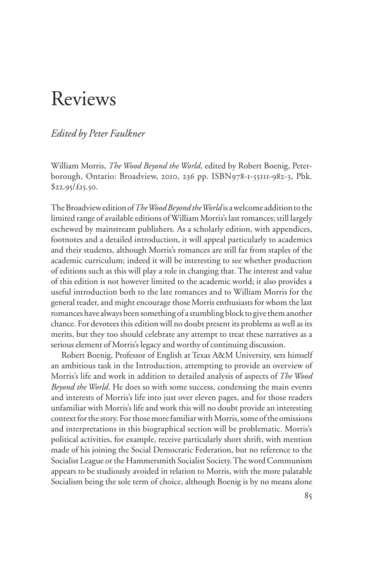# Reviews

## *Edited by Peter Faulkner*

William Morris, *The Wood Beyond the World*, edited by Robert Boenig, Peterborough, Ontario: Broadview, 2010, 236 pp. ISBN978-1-55111-982-3, Pbk.  $$22.95/\text{E}15.50.$ 

The Broadview edition of *The Wood Beyond the World* is a welcome addition to the limited range of available editions of William Morris's last romances; still largely eschewed by mainstream publishers. As a scholarly edition, with appendices, footnotes and a detailed introduction, it will appeal particularly to academics and their students, although Morris's romances are still far from staples of the academic curriculum; indeed it will be interesting to see whether production of editions such as this will play a role in changing that. The interest and value of this edition is not however limited to the academic world; it also provides a useful introduction both to the late romances and to William Morris for the general reader, and might encourage those Morris enthusiasts for whom the last romances have always been something of a stumbling block to give them another chance. For devotees this edition will no doubt present its problems as well as its merits, but they too should celebrate any attempt to treat these narratives as a serious element of Morris's legacy and worthy of continuing discussion.

Robert Boenig, Professor of English at Texas A&M University, sets himself an ambitious task in the Introduction, attempting to provide an overview of Morris's life and work in addition to detailed analysis of aspects of *The Wood Beyond the World*. He does so with some success, condensing the main events and interests of Morris's life into just over eleven pages, and for those readers unfamiliar with Morris's life and work this will no doubt provide an interesting context for the story. For those more familiar with Morris, some of the omissions and interpretations in this biographical section will be problematic. Morris's political activities, for example, receive particularly short shrift, with mention made of his joining the Social Democratic Federation, but no reference to the Socialist League or the Hammersmith Socialist Society. The word Communism appears to be studiously avoided in relation to Morris, with the more palatable Socialism being the sole term of choice, although Boenig is by no means alone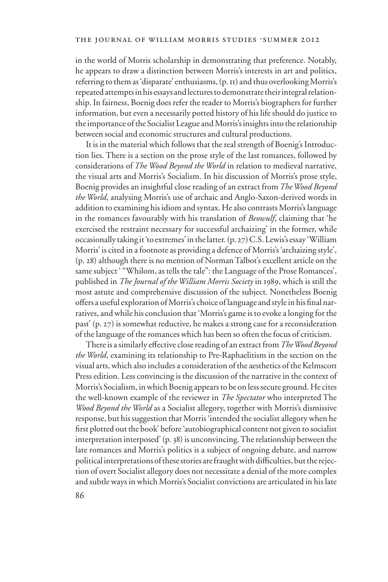in the world of Morris scholarship in demonstrating that preference. Notably, he appears to draw a distinction between Morris's interests in art and politics, referring to them as 'disparate' enthusiasms, (p. 11) and thus overlooking Morris's repeated attempts in his essays and lectures to demonstrate their integral relationship. In fairness, Boenig does refer the reader to Morris's biographers for further information, but even a necessarily potted history of his life should do justice to the importance of the Socialist League and Morris's insights into the relationship between social and economic structures and cultural productions.

It is in the material which follows that the real strength of Boenig's Introduction lies. There is a section on the prose style of the last romances, followed by considerations of *The Wood Beyond the World* in relation to medieval narrative, the visual arts and Morris's Socialism. In his discussion of Morris's prose style, Boenig provides an insightful close reading of an extract from *The Wood Beyond the World*, analysing Morris's use of archaic and Anglo-Saxon-derived words in addition to examining his idiom and syntax. He also contrasts Morris's language in the romances favourably with his translation of *Beowulf*, claiming that 'he exercised the restraint necessary for successful archaizing' in the former, while occasionally taking it 'to extremes' in the latter. (p. 27) C.S. Lewis's essay 'William Morris' is cited in a footnote as providing a defence of Morris's 'archaizing style', (p. 28) although there is no mention of Norman Talbot's excellent article on the same subject ' "Whilom, as tells the tale": the Language of the Prose Romances', published in *The Journal of the William Morris Society* in 1989, which is still the most astute and comprehensive discussion of the subject. Nonetheless Boenig offers a useful exploration of Morris's choice of language and style in his final narratives, and while his conclusion that 'Morris's game is to evoke a longing for the past' (p. 27) is somewhat reductive, he makes a strong case for a reconsideration of the language of the romances which has been so often the focus of criticism.

There is a similarly effective close reading of an extract from *The Wood Beyond the World*, examining its relationship to Pre-Raphaelitism in the section on the visual arts, which also includes a consideration of the aesthetics of the Kelmscott Press edition. Less convincing is the discussion of the narrative in the context of Morris's Socialism, in which Boenig appears to be on less secure ground. He cites the well-known example of the reviewer in *The Spectator* who interpreted The *Wood Beyond the World* as a Socialist allegory, together with Morris's dismissive response, but his suggestion that Morris 'intended the socialist allegory when he first plotted out the book' before 'autobiographical content not given to socialist interpretation interposed' (p. 38) is unconvincing. The relationship between the late romances and Morris's politics is a subject of ongoing debate, and narrow political interpretations of these stories are fraught with difficulties, but the rejection of overt Socialist allegory does not necessitate a denial of the more complex and subtle ways in which Morris's Socialist convictions are articulated in his late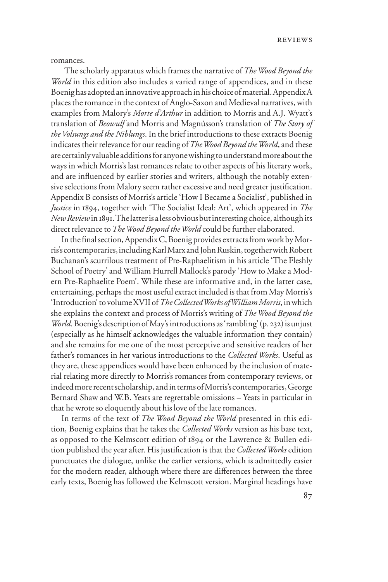reviews

romances.

 The scholarly apparatus which frames the narrative of *The Wood Beyond the World* in this edition also includes a varied range of appendices, and in these Boenig has adopted an innovative approach in his choice of material. Appendix A places the romance in the context of Anglo-Saxon and Medieval narratives, with examples from Malory's *Morte d'Arthur* in addition to Morris and A.J. Wyatt's translation of *Beowulf* and Morris and Magnússon's translation of *The Story of the Volsungs and the Niblungs*. In the brief introductions to these extracts Boenig indicates their relevance for our reading of *The Wood Beyond the World*, and these are certainly valuable additions for anyone wishing to understand more about the ways in which Morris's last romances relate to other aspects of his literary work, and are influenced by earlier stories and writers, although the notably extensive selections from Malory seem rather excessive and need greater justification. Appendix B consists of Morris's article 'How I Became a Socialist', published in *Justice* in 1894, together with 'The Socialist Ideal: Art', which appeared in *The New Review* in 1891. The latter is a less obvious but interesting choice, although its direct relevance to *The Wood Beyond the World* could be further elaborated.

In the final section, Appendix C, Boenig provides extracts from work by Morris's contemporaries, including Karl Marx and John Ruskin, together with Robert Buchanan's scurrilous treatment of Pre-Raphaelitism in his article 'The Fleshly School of Poetry' and William Hurrell Mallock's parody 'How to Make a Modern Pre-Raphaelite Poem'. While these are informative and, in the latter case, entertaining, perhaps the most useful extract included is that from May Morris's 'Introduction' to volume XVII of *The Collected Works of William Morris*, in which she explains the context and process of Morris's writing of *The Wood Beyond the World*. Boenig's description of May's introductions as 'rambling' (p. 232) is unjust (especially as he himself acknowledges the valuable information they contain) and she remains for me one of the most perceptive and sensitive readers of her father's romances in her various introductions to the *Collected Works*. Useful as they are, these appendices would have been enhanced by the inclusion of material relating more directly to Morris's romances from contemporary reviews, or indeed more recent scholarship, and in terms of Morris's contemporaries, George Bernard Shaw and W.B. Yeats are regrettable omissions – Yeats in particular in that he wrote so eloquently about his love of the late romances.

In terms of the text of *The Wood Beyond the World* presented in this edition, Boenig explains that he takes the *Collected Works* version as his base text, as opposed to the Kelmscott edition of 1894 or the Lawrence & Bullen edition published the year after. His justification is that the *Collected Works* edition punctuates the dialogue, unlike the earlier versions, which is admittedly easier for the modern reader, although where there are differences between the three early texts, Boenig has followed the Kelmscott version. Marginal headings have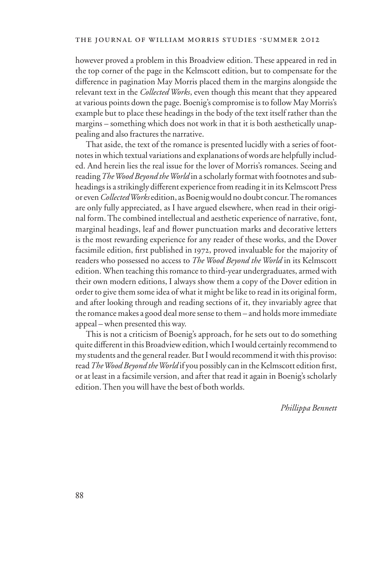however proved a problem in this Broadview edition. These appeared in red in the top corner of the page in the Kelmscott edition, but to compensate for the difference in pagination May Morris placed them in the margins alongside the relevant text in the *Collected Works*, even though this meant that they appeared at various points down the page. Boenig's compromise is to follow May Morris's example but to place these headings in the body of the text itself rather than the margins – something which does not work in that it is both aesthetically unappealing and also fractures the narrative.

That aside, the text of the romance is presented lucidly with a series of footnotes in which textual variations and explanations of words are helpfully included. And herein lies the real issue for the lover of Morris's romances. Seeing and reading *The Wood Beyond the World* in a scholarly format with footnotes and subheadings is a strikingly different experience from reading it in its Kelmscott Press or even *Collected Works* edition, as Boenig would no doubt concur. The romances are only fully appreciated, as I have argued elsewhere, when read in their original form. The combined intellectual and aesthetic experience of narrative, font, marginal headings, leaf and flower punctuation marks and decorative letters is the most rewarding experience for any reader of these works, and the Dover facsimile edition, first published in 1972, proved invaluable for the majority of readers who possessed no access to *The Wood Beyond the World* in its Kelmscott edition. When teaching this romance to third-year undergraduates, armed with their own modern editions, I always show them a copy of the Dover edition in order to give them some idea of what it might be like to read in its original form, and after looking through and reading sections of it, they invariably agree that the romance makes a good deal more sense to them – and holds more immediate appeal – when presented this way.

This is not a criticism of Boenig's approach, for he sets out to do something quite different in this Broadview edition, which I would certainly recommend to my students and the general reader. But I would recommend it with this proviso: read The Wood Beyond the World if you possibly can in the Kelmscott edition first, or at least in a facsimile version, and after that read it again in Boenig's scholarly edition. Then you will have the best of both worlds.

*Phillippa Bennett*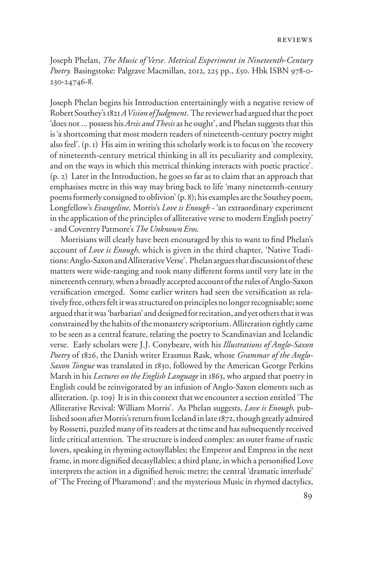Joseph Phelan, *The Music of Verse. Metrical Experiment in Nineteenth-Century Poetry.* Basingstoke: Palgrave Macmillan, 2012, 225 pp., £50. Hbk ISBN 978-0- 230-24746-8.

Joseph Phelan begins his Introduction entertainingly with a negative review of Robert Southey's 1821*A Vision of Judgment*. The reviewer had argued that the poet 'does not ... possess his *Arsis and Thesis* as he ought', and Phelan suggests that this is 'a shortcoming that most modern readers of nineteenth-century poetry might also feel'. (p. 1) His aim in writing this scholarly work is to focus on 'the recovery of nineteenth-century metrical thinking in all its peculiarity and complexity, and on the ways in which this metrical thinking interacts with poetic practice'. (p. 2) Later in the Introduction, he goes so far as to claim that an approach that emphasises metre in this way may bring back to life 'many nineteenth-century poems formerly consigned to oblivion' (p. 8); his examples are the Southey poem*,*  Longfellow's *Evangeline,* Morris's *Love is Enough -* 'an extraordinary experiment in the application of the principles of alliterative verse to modern English poetry' - and Coventry Patmore's *The Unknown Eros.*

Morrisians will clearly have been encouraged by this to want to find Phelan's account of *Love is Enough,* which is given in the third chapter*,* 'Native Traditions: Anglo-Saxon and Alliterative Verse'. Phelan argues that discussions of these matters were wide-ranging and took many different forms until very late in the nineteenth century, when a broadly accepted account of the rules of Anglo-Saxon versification emerged. Some earlier writers had seen the versification as relatively free, others felt it was structured on principles no longer recognisable; some argued that it was 'barbarian' and designed for recitation, and yet others that it was constrained by the habits of the monastery scriptorium. Alliteration rightly came to be seen as a central feature, relating the poetry to Scandinavian and Icelandic verse. Early scholars were J.J. Conybeare, with his *Illustrations of Anglo-Saxon Poetry* of 1826, the Danish writer Erasmus Rask, whose *Grammar of the Anglo-Saxon Tongue* was translated in 1830, followed by the American George Perkins Marsh in his *Lectures on the English Language* in 1863, who argued that poetry in English could be reinvigorated by an infusion of Anglo-Saxon elements such as alliteration. (p. 109) It is in this context that we encounter a section entitled 'The Alliterative Revival: William Morris'. As Phelan suggests, *Love is Enough,* published soon after Morris's return from Iceland in late 1872, though greatly admired by Rossetti, puzzled many of its readers at the time and has subsequently received little critical attention. The structure is indeed complex: an outer frame of rustic lovers, speaking in rhyming octosyllables; the Emperor and Empress in the next frame, in more dignified decasyllables; a third plane, in which a personified Love interprets the action in a dignified heroic metre; the central 'dramatic interlude' of 'The Freeing of Pharamond'; and the mysterious Music in rhymed dactylics,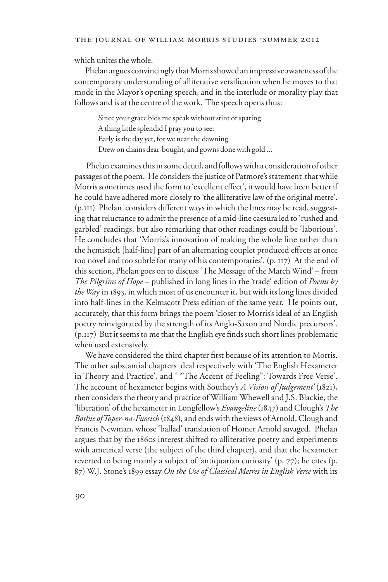which unites the whole.

Phelan argues convincingly that Morris showed an impressive awareness of the contemporary understanding of alliterative versification when he moves to that mode in the Mayor's opening speech, and in the interlude or morality play that follows and is at the centre of the work. The speech opens thus:

Since your grace bids me speak without stint or sparing A thing little splendid I pray you to see: Early is the day yet, for we near the dawning Drew on chains dear-bought, and gowns done with gold ...

 Phelan examines this in some detail, and follows with a consideration of other passages of the poem. He considers the justice of Patmore's statement that while Morris sometimes used the form to 'excellent effect', it would have been better if he could have adhered more closely to 'the alliterative law of the original metre'.  $(p,III)$  Phelan considers different ways in which the lines may be read, suggesting that reluctance to admit the presence of a mid-line caesura led to 'rushed and garbled' readings, but also remarking that other readings could be 'laborious'. He concludes that 'Morris's innovation of making the whole line rather than the hemistich [half-line] part of an alternating couplet produced effects at once too novel and too subtle for many of his contemporaries'. (p. 117) At the end of this section, Phelan goes on to discuss 'The Message of the March Wind' – from *The Pilgrims of Hope* – published in long lines in the 'trade' edition of *Poems by the Wa*y in 1893, in which most of us encounter it, but with its long lines divided into half-lines in the Kelmscott Press edition of the same year. He points out, accurately, that this form brings the poem 'closer to Morris's ideal of an English poetry reinvigorated by the strength of its Anglo-Saxon and Nordic precursors'.  $(p_{117})$  But it seems to me that the English eye finds such short lines problematic when used extensively.

We have considered the third chapter first because of its attention to Morris. The other substantial chapters deal respectively with 'The English Hexameter in Theory and Practice', and ' "The Accent of Feeling": Towards Free Verse'. The account of hexameter begins with Southey's *A Vision of Judgement'* (1821), then considers the theory and practice of William Whewell and J.S. Blackie, the 'liberation' of the hexameter in Longfellow's *Evangeline* (1847) and Clough's *The Bothie of Toper-na-Fuosich* (1848)*,* and ends with the views of Arnold, Clough and Francis Newman, whose 'ballad' translation of Homer Arnold savaged. Phelan argues that by the 1860s interest shifted to alliterative poetry and experiments with ametrical verse (the subject of the third chapter), and that the hexameter reverted to being mainly a subject of 'antiquarian curiosity' (p. 77); he cites (p. 87) W.J. Stone's 1899 essay *On the Use of Classical Metres in English Verse* with its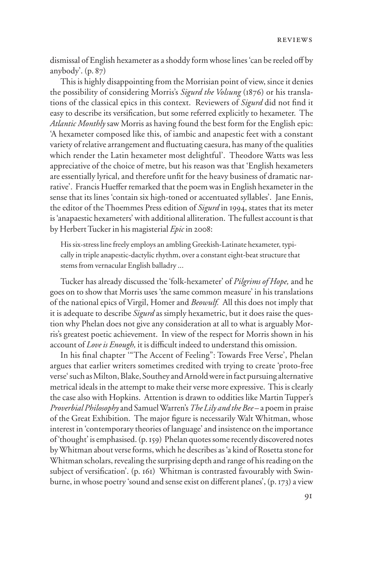dismissal of English hexameter as a shoddy form whose lines 'can be reeled off by anybody'. (p. 87)

This is highly disappointing from the Morrisian point of view, since it denies the possibility of considering Morris's *Sigurd the Volsung* (1876) or his translations of the classical epics in this context. Reviewers of *Sigurd* did not find it easy to describe its versification, but some referred explicitly to hexameter. The *Atlantic Monthly* saw Morris as having found the best form for the English epic: 'A hexameter composed like this, of iambic and anapestic feet with a constant variety of relative arrangement and fluctuating caesura, has many of the qualities which render the Latin hexameter most delightful'. Theodore Watts was less appreciative of the choice of metre, but his reason was that 'English hexameters are essentially lyrical, and therefore unfit for the heavy business of dramatic narrative'. Francis Hueffer remarked that the poem was in English hexameter in the sense that its lines 'contain six high-toned or accentuated syllables'. Jane Ennis, the editor of the Thoemmes Press edition of *Sigurd* in 1994, states that its meter is 'anapaestic hexameters' with additional alliteration. The fullest account is that by Herbert Tucker in his magisterial *Epic* in 2008:

His six-stress line freely employs an ambling Greekish-Latinate hexameter, typically in triple anapestic-dactylic rhythm, over a constant eight-beat structure that stems from vernacular English balladry ...

Tucker has already discussed the 'folk-hexameter' of *Pilgrims of Hope,* and he goes on to show that Morris uses 'the same common measure' in his translations of the national epics of Virgil, Homer and *Beowulf.* All this does not imply that it is adequate to describe *Sigurd* as simply hexametric, but it does raise the question why Phelan does not give any consideration at all to what is arguably Morris's greatest poetic achievement. In view of the respect for Morris shown in his account of *Love is Enough*, it is difficult indeed to understand this omission.

In his final chapter "The Accent of Feeling": Towards Free Verse', Phelan argues that earlier writers sometimes credited with trying to create 'proto-free verse' such as Milton, Blake, Southey and Arnold were in fact pursuing alternative metrical ideals in the attempt to make their verse more expressive. This is clearly the case also with Hopkins. Attention is drawn to oddities like Martin Tupper's *Proverbial Philosophy* and Samuel Warren's *The Lily and the Bee* – a poem in praise of the Great Exhibition. The major figure is necessarily Walt Whitman, whose interest in 'contemporary theories of language' and insistence on the importance of 'thought' is emphasised. (p. 159) Phelan quotes some recently discovered notes by Whitman about verse forms, which he describes as 'a kind of Rosetta stone for Whitman scholars, revealing the surprising depth and range of his reading on the subject of versification'. (p. 161) Whitman is contrasted favourably with Swinburne, in whose poetry 'sound and sense exist on different planes',  $(p. 173)$  a view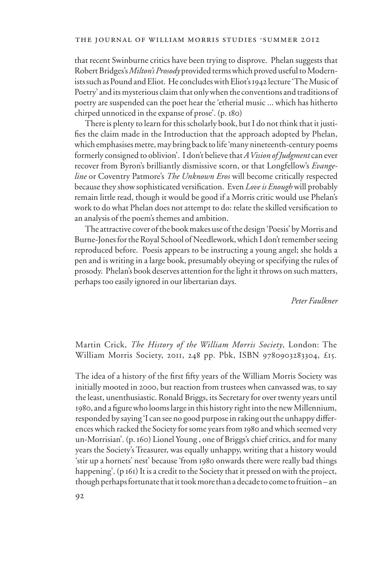#### THE JOURNAL OF WILLIAM MORRIS STUDIES .SUMMER 2012

that recent Swinburne critics have been trying to disprove. Phelan suggests that Robert Bridges's *Milton's Prosody* provided terms which proved useful to Modernists such as Pound and Eliot. He concludes with Eliot's 1942 lecture 'The Music of Poetry' and its mysterious claim that only when the conventions and traditions of poetry are suspended can the poet hear the 'etherial music ... which has hitherto chirped unnoticed in the expanse of prose'. (p. 180)

There is plenty to learn for this scholarly book, but I do not think that it justifies the claim made in the Introduction that the approach adopted by Phelan, which emphasises metre, may bring back to life 'many nineteenth-century poems formerly consigned to oblivion'. I don't believe that *A Vision of Judgment* can ever recover from Byron's brilliantly dismissive scorn, or that Longfellow's *Evangeline* or Coventry Patmore's *The Unknown Eros* will become critically respected because they show sophisticated versification. Even *Love is Enough* will probably remain little read, though it would be good if a Morris critic would use Phelan's work to do what Phelan does not attempt to do: relate the skilled versification to an analysis of the poem's themes and ambition.

The attractive cover of the book makes use of the design 'Poesis' by Morris and Burne-Jones for the Royal School of Needlework, which I don't remember seeing reproduced before. Poesis appears to be instructing a young angel; she holds a pen and is writing in a large book, presumably obeying or specifying the rules of prosody. Phelan's book deserves attention for the light it throws on such matters, perhaps too easily ignored in our libertarian days.

#### *Peter Faulkner*

Martin Crick, *The History of the William Morris Society*, London: The William Morris Society, 2011, 248 pp. Pbk, ISBN 9780903283304, £15.

The idea of a history of the first fifty years of the William Morris Society was initially mooted in 2000, but reaction from trustees when canvassed was, to say the least, unenthusiastic. Ronald Briggs, its Secretary for over twenty years until 1980, and a figure who looms large in this history right into the new Millennium, responded by saying 'I can see no good purpose in raking out the unhappy differences which racked the Society for some years from 1980 and which seemed very un-Morrisian'. (p. 160) Lionel Young , one of Briggs's chief critics, and for many years the Society's Treasurer, was equally unhappy, writing that a history would 'stir up a hornets' nest' because 'from 1980 onwards there were really bad things happening'. (p 161) It is a credit to the Society that it pressed on with the project, though perhaps fortunate that it took more than a decade to come to fruition – an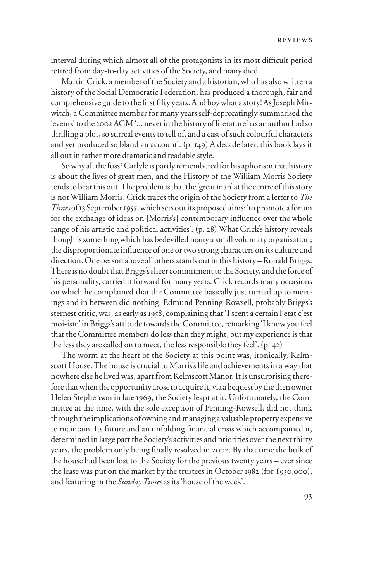interval during which almost all of the protagonists in its most difficult period retired from day-to-day activities of the Society, and many died.

Martin Crick, a member of the Society and a historian, who has also written a history of the Social Democratic Federation, has produced a thorough, fair and comprehensive guide to the first fifty years. And boy what a story! As Joseph Mirwitch, a Committee member for many years self-deprecatingly summarised the 'events' to the 2002 AGM '... never in the history of literature has an author had so thrilling a plot, so surreal events to tell of, and a cast of such colourful characters and yet produced so bland an account'. (p. 149) A decade later, this book lays it all out in rather more dramatic and readable style.

So why all the fuss? Carlyle is partly remembered for his aphorism that history is about the lives of great men, and the History of the William Morris Society tends to bear this out. The problem is that the 'great man' at the centre of this story is not William Morris. Crick traces the origin of the Society from a letter to *The Times* of 13 September 1955, which sets out its proposed aims: 'to promote a forum for the exchange of ideas on [Morris's] contemporary influence over the whole range of his artistic and political activities'. (p. 28) What Crick's history reveals though is something which has bedevilled many a small voluntary organisation; the disproportionate influence of one or two strong characters on its culture and direction. One person above all others stands out in this history – Ronald Briggs. There is no doubt that Briggs's sheer commitment to the Society, and the force of his personality, carried it forward for many years. Crick records many occasions on which he complained that the Committee basically just turned up to meetings and in between did nothing. Edmund Penning-Rowsell, probably Briggs's sternest critic, was, as early as 1958, complaining that 'I scent a certain l'etat c'est moi-ism' in Briggs's attitude towards the Committee, remarking 'I know you feel that the Committee members do less than they might, but my experience is that the less they are called on to meet, the less responsible they feel'. (p. 42)

The worm at the heart of the Society at this point was, ironically, Kelmscott House. The house is crucial to Morris's life and achievements in a way that nowhere else he lived was, apart from Kelmscott Manor. It is unsurprising therefore that when the opportunity arose to acquire it, via a bequest by the then owner Helen Stephenson in late 1969, the Society leapt at it. Unfortunately, the Committee at the time, with the sole exception of Penning-Rowsell, did not think through the implications of owning and managing a valuable property expensive to maintain. Its future and an unfolding financial crisis which accompanied it, determined in large part the Society's activities and priorities over the next thirty years, the problem only being finally resolved in 2002. By that time the bulk of the house had been lost to the Society for the previous twenty years – ever since the lease was put on the market by the trustees in October 1982 (for £950,000), and featuring in the *Sunday Times* as its 'house of the week'.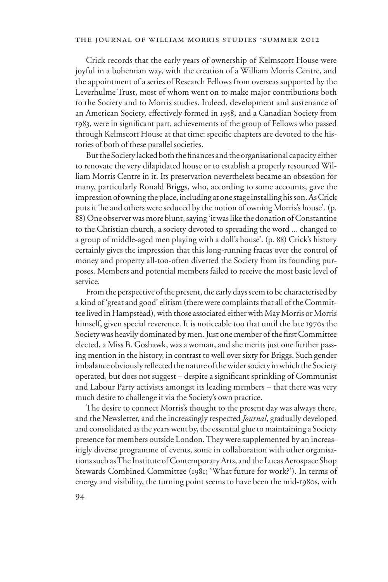Crick records that the early years of ownership of Kelmscott House were joyful in a bohemian way, with the creation of a William Morris Centre, and the appointment of a series of Research Fellows from overseas supported by the Leverhulme Trust, most of whom went on to make major contributions both to the Society and to Morris studies. Indeed, development and sustenance of an American Society, effectively formed in 1958, and a Canadian Society from 1983, were in significant part, achievements of the group of Fellows who passed through Kelmscott House at that time: specific chapters are devoted to the histories of both of these parallel societies.

But the Society lacked both the finances and the organisational capacity either to renovate the very dilapidated house or to establish a properly resourced William Morris Centre in it. Its preservation nevertheless became an obsession for many, particularly Ronald Briggs, who, according to some accounts, gave the impression of owning the place, including at one stage installing his son. As Crick puts it 'he and others were seduced by the notion of owning Morris's house'. (p. 88) One observer was more blunt, saying 'it was like the donation of Constantine to the Christian church, a society devoted to spreading the word ... changed to a group of middle-aged men playing with a doll's house'. (p. 88) Crick's history certainly gives the impression that this long-running fracas over the control of money and property all-too-often diverted the Society from its founding purposes. Members and potential members failed to receive the most basic level of service.

From the perspective of the present, the early days seem to be characterised by a kind of 'great and good' elitism (there were complaints that all of the Committee lived in Hampstead), with those associated either with May Morris or Morris himself, given special reverence. It is noticeable too that until the late 1970s the Society was heavily dominated by men. Just one member of the first Committee elected, a Miss B. Goshawk, was a woman, and she merits just one further passing mention in the history, in contrast to well over sixty for Briggs. Such gender imbalance obviously reflected the nature of the wider society in which the Society operated, but does not suggest – despite a significant sprinkling of Communist and Labour Party activists amongst its leading members – that there was very much desire to challenge it via the Society's own practice.

The desire to connect Morris's thought to the present day was always there, and the Newsletter, and the increasingly respected *Journal*, gradually developed and consolidated as the years went by, the essential glue to maintaining a Society presence for members outside London. They were supplemented by an increasingly diverse programme of events, some in collaboration with other organisations such as The Institute of Contemporary Arts, and the Lucas Aerospace Shop Stewards Combined Committee (1981; 'What future for work?'). In terms of energy and visibility, the turning point seems to have been the mid-1980s, with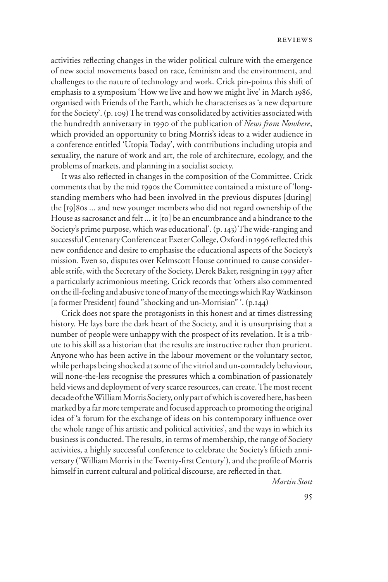activities reflecting changes in the wider political culture with the emergence of new social movements based on race, feminism and the environment, and challenges to the nature of technology and work. Crick pin-points this shift of emphasis to a symposium 'How we live and how we might live' in March 1986, organised with Friends of the Earth, which he characterises as 'a new departure for the Society'. (p. 109) The trend was consolidated by activities associated with the hundredth anniversary in 1990 of the publication of *News from Nowhere*, which provided an opportunity to bring Morris's ideas to a wider audience in a conference entitled 'Utopia Today', with contributions including utopia and sexuality, the nature of work and art, the role of architecture, ecology, and the problems of markets, and planning in a socialist society.

It was also reflected in changes in the composition of the Committee. Crick comments that by the mid 1990s the Committee contained a mixture of 'longstanding members who had been involved in the previous disputes [during] the [19]80s ... and new younger members who did not regard ownership of the House as sacrosanct and felt ... it [to] be an encumbrance and a hindrance to the Society's prime purpose, which was educational'. (p. 143) The wide-ranging and successful Centenary Conference at Exeter College, Oxford in 1996 reflected this new confidence and desire to emphasise the educational aspects of the Society's mission. Even so, disputes over Kelmscott House continued to cause considerable strife, with the Secretary of the Society, Derek Baker, resigning in 1997 after a particularly acrimonious meeting. Crick records that 'others also commented on the ill-feeling and abusive tone of many of the meetings which Ray Watkinson [a former President] found "shocking and un-Morrisian"'. (p.144)

Crick does not spare the protagonists in this honest and at times distressing history. He lays bare the dark heart of the Society, and it is unsurprising that a number of people were unhappy with the prospect of its revelation. It is a tribute to his skill as a historian that the results are instructive rather than prurient. Anyone who has been active in the labour movement or the voluntary sector, while perhaps being shocked at some of the vitriol and un-comradely behaviour, will none-the-less recognise the pressures which a combination of passionately held views and deployment of very scarce resources, can create. The most recent decade of the William Morris Society, only part of which is covered here, has been marked by a far more temperate and focused approach to promoting the original idea of 'a forum for the exchange of ideas on his contemporary influence over the whole range of his artistic and political activities', and the ways in which its business is conducted. The results, in terms of membership, the range of Society activities, a highly successful conference to celebrate the Society's fiftieth anniversary ('William Morris in the Twenty-first Century'), and the profile of Morris himself in current cultural and political discourse, are reflected in that.

*Martin Stott*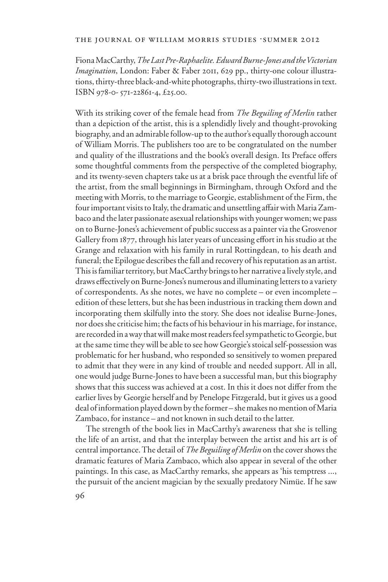### THE JOURNAL OF WILLIAM MORRIS STUDIES .SUMMER 2012

Fiona MacCarthy, *The Last Pre-Raphaelite. Edward Burne-Jones and the Victorian Imagination*, London: Faber & Faber 2011, 629 pp., thirty-one colour illustrations, thirty-three black-and-white photographs, thirty-two illustrations in text. ISBN 978-0- 571-22861-4, £25.00.

With its striking cover of the female head from *The Beguiling of Merlin* rather than a depiction of the artist, this is a splendidly lively and thought-provoking biography, and an admirable follow-up to the author's equally thorough account of William Morris. The publishers too are to be congratulated on the number and quality of the illustrations and the book's overall design. Its Preface offers some thoughtful comments from the perspective of the completed biography, and its twenty-seven chapters take us at a brisk pace through the eventful life of the artist, from the small beginnings in Birmingham, through Oxford and the meeting with Morris, to the marriage to Georgie, establishment of the Firm, the four important visits to Italy, the dramatic and unsettling affair with Maria Zambaco and the later passionate asexual relationships with younger women; we pass on to Burne-Jones's achievement of public success as a painter via the Grosvenor Gallery from 1877, through his later years of unceasing effort in his studio at the Grange and relaxation with his family in rural Rottingdean, to his death and funeral; the Epilogue describes the fall and recovery of his reputation as an artist. This is familiar territory, but MacCarthy brings to her narrative a lively style, and draws effectively on Burne-Jones's numerous and illuminating letters to a variety of correspondents. As she notes, we have no complete – or even incomplete – edition of these letters, but she has been industrious in tracking them down and incorporating them skilfully into the story. She does not idealise Burne-Jones, nor does she criticise him; the facts of his behaviour in his marriage, for instance, are recorded in a way that will make most readers feel sympathetic to Georgie, but at the same time they will be able to see how Georgie's stoical self-possession was problematic for her husband, who responded so sensitively to women prepared to admit that they were in any kind of trouble and needed support. All in all, one would judge Burne-Jones to have been a successful man, but this biography shows that this success was achieved at a cost. In this it does not differ from the earlier lives by Georgie herself and by Penelope Fitzgerald, but it gives us a good deal of information played down by the former – she makes no mention of Maria Zambaco, for instance – and not known in such detail to the latter.

The strength of the book lies in MacCarthy's awareness that she is telling the life of an artist, and that the interplay between the artist and his art is of central importance. The detail of *The Beguiling of Merlin* on the cover shows the dramatic features of Maria Zambaco, which also appear in several of the other paintings. In this case, as MacCarthy remarks, she appears as 'his temptress ..., the pursuit of the ancient magician by the sexually predatory Nimüe. If he saw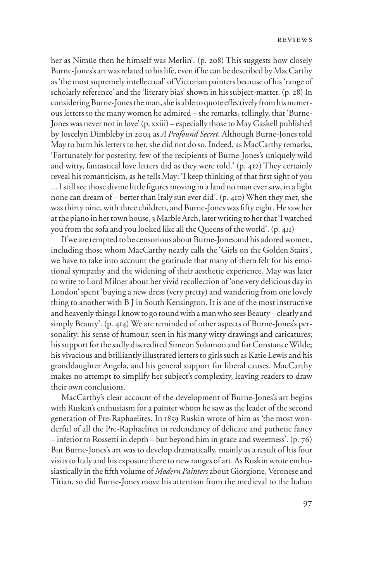her as Nimüe then he himself was Merlin'. (p. 208) This suggests how closely Burne-Jones's art was related to his life, even if he can be described by MacCarthy as 'the most supremely intellectual' of Victorian painters because of his 'range of scholarly reference' and the 'literary bias' shown in his subject-matter. (p. 28) In considering Burne-Jones the man, she is able to quote effectively from his numerous letters to the many women he admired – she remarks, tellingly, that 'Burne-Jones was never not in love' (p. xxiii) – especially those to May Gaskell published by Joscelyn Dimbleby in 2004 as *A Profound Secret*. Although Burne-Jones told May to burn his letters to her, she did not do so. Indeed, as MacCarthy remarks, 'Fortunately for posterity, few of the recipients of Burne-Jones's uniquely wild and witty, fantastical love letters did as they were told.' (p. 412) They certainly reveal his romanticism, as he tells May: 'I keep thinking of that first sight of you ... I still see those divine little figures moving in a land no man ever saw, in a light none can dream of – better than Italy sun ever did'. (p. 410) When they met, she was thirty nine, with three children, and Burne-Jones was fifty eight. He saw her at the piano in her town house, 3 Marble Arch, later writing to her that 'I watched you from the sofa and you looked like all the Queens of the world'. (p. 411)

If we are tempted to be censorious about Burne-Jones and his adored women, including those whom MacCarthy neatly calls the 'Girls on the Golden Stairs', we have to take into account the gratitude that many of them felt for his emotional sympathy and the widening of their aesthetic experience. May was later to write to Lord Milner about her vivid recollection of 'one very delicious day in London' spent 'buying a new dress (very pretty) and wandering from one lovely thing to another with B J in South Kensington. It is one of the most instructive and heavenly things I know to go round with a man who sees Beauty – clearly and simply Beauty'. (p. 414) We are reminded of other aspects of Burne-Jones's personality: his sense of humour, seen in his many witty drawings and caricatures; his support for the sadly discredited Simeon Solomon and for Constance Wilde; his vivacious and brilliantly illustrated letters to girls such as Katie Lewis and his granddaughter Angela, and his general support for liberal causes. MacCarthy makes no attempt to simplify her subject's complexity, leaving readers to draw their own conclusions.

MacCarthy's clear account of the development of Burne-Jones's art begins with Ruskin's enthusiasm for a painter whom he saw as the leader of the second generation of Pre-Raphaelites. In 1859 Ruskin wrote of him as 'the most wonderful of all the Pre-Raphaelites in redundancy of delicate and pathetic fancy – inferior to Rossetti in depth – but beyond him in grace and sweetness'. (p. 76) But Burne-Jones's art was to develop dramatically, mainly as a result of his four visits to Italy and his exposure there to new ranges of art. As Ruskin wrote enthusiastically in the fifth volume of *Modern Painters* about Giorgione, Veronese and Titian, so did Burne-Jones move his attention from the medieval to the Italian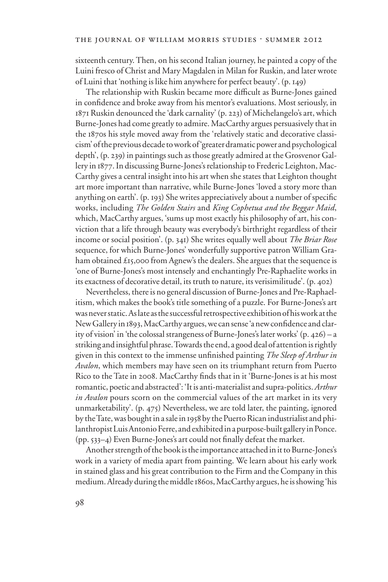sixteenth century. Then, on his second Italian journey, he painted a copy of the Luini fresco of Christ and Mary Magdalen in Milan for Ruskin, and later wrote of Luini that 'nothing is like him anywhere for perfect beauty'. (p. 149)

The relationship with Ruskin became more difficult as Burne-Jones gained in confidence and broke away from his mentor's evaluations. Most seriously, in 1871 Ruskin denounced the 'dark carnality' (p. 223) of Michelangelo's art, which Burne-Jones had come greatly to admire. MacCarthy argues persuasively that in the 1870s his style moved away from the 'relatively static and decorative classicism' of the previous decade to work of 'greater dramatic power and psychological depth', (p. 239) in paintings such as those greatly admired at the Grosvenor Gallery in 1877. In discussing Burne-Jones's relationship to Frederic Leighton, Mac-Carthy gives a central insight into his art when she states that Leighton thought art more important than narrative, while Burne-Jones 'loved a story more than anything on earth'.  $(p. 193)$  She writes appreciatively about a number of specific works, including *The Golden Stairs* and *King Cophetua and the Beggar Maid*, which, MacCarthy argues, 'sums up most exactly his philosophy of art, his conviction that a life through beauty was everybody's birthright regardless of their income or social position'. (p. 341) She writes equally well about *The Briar Rose* sequence, for which Burne-Jones' wonderfully supportive patron William Graham obtained £15,000 from Agnew's the dealers. She argues that the sequence is 'one of Burne-Jones's most intensely and enchantingly Pre-Raphaelite works in its exactness of decorative detail, its truth to nature, its verisimilitude'. (p. 402)

Nevertheless, there is no general discussion of Burne-Jones and Pre-Raphaelitism, which makes the book's title something of a puzzle. For Burne-Jones's art was never static. As late as the successful retrospective exhibition of his work at the New Gallery in 1893, MacCarthy argues, we can sense 'a new confidence and clarity of vision' in 'the colossal strangeness of Burne-Jones's later works' (p. 426) – a striking and insightful phrase. Towards the end, a good deal of attention is rightly given in this context to the immense unfinished painting *The Sleep of Arthur in Avalon*, which members may have seen on its triumphant return from Puerto Rico to the Tate in 2008. MacCarthy finds that in it 'Burne-Jones is at his most romantic, poetic and abstracted': 'It is anti-materialist and supra-politics. *Arthur in Avalon* pours scorn on the commercial values of the art market in its very unmarketability'. (p. 475) Nevertheless, we are told later, the painting, ignored by the Tate, was bought in a sale in 1958 by the Puerto Rican industrialist and philanthropist Luis Antonio Ferre, and exhibited in a purpose-built gallery in Ponce.  $(pp. 533-4)$  Even Burne-Jones's art could not finally defeat the market.

Another strength of the book is the importance attached in it to Burne-Jones's work in a variety of media apart from painting. We learn about his early work in stained glass and his great contribution to the Firm and the Company in this medium. Already during the middle 1860s, MacCarthy argues, he is showing 'his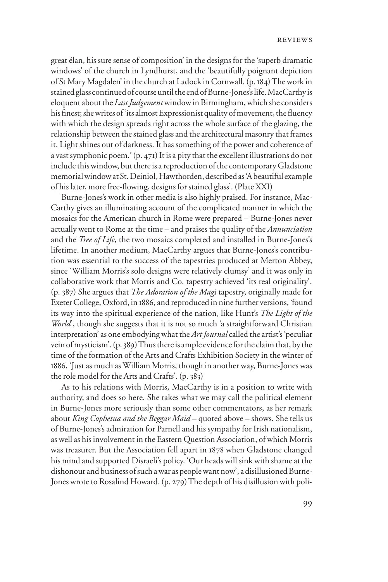great élan, his sure sense of composition' in the designs for the 'superb dramatic windows' of the church in Lyndhurst, and the 'beautifully poignant depiction of St Mary Magdalen' in the church at Ladock in Cornwall. (p. 184) The work in stained glass continued of course until the end of Burne-Jones's life. MacCarthy is eloquent about the *Last Judgement* window in Birmingham, which she considers his finest; she writes of 'its almost Expressionist quality of movement, the fluency with which the design spreads right across the whole surface of the glazing, the relationship between the stained glass and the architectural masonry that frames it. Light shines out of darkness. It has something of the power and coherence of a vast symphonic poem.' (p. 471) It is a pity that the excellent illustrations do not include this window, but there is a reproduction of the contemporary Gladstone memorial window at St. Deiniol, Hawthorden, described as 'A beautiful example of his later, more free-Xowing, designs for stained glass'. (Plate XXI)

Burne-Jones's work in other media is also highly praised. For instance, Mac-Carthy gives an illuminating account of the complicated manner in which the mosaics for the American church in Rome were prepared – Burne-Jones never actually went to Rome at the time – and praises the quality of the *Annunciation*  and the *Tree of Life*, the two mosaics completed and installed in Burne-Jones's lifetime. In another medium, MacCarthy argues that Burne-Jones's contribution was essential to the success of the tapestries produced at Merton Abbey, since 'William Morris's solo designs were relatively clumsy' and it was only in collaborative work that Morris and Co. tapestry achieved 'its real originality'. (p. 387) She argues that *The Adoration of the Mag*i tapestry, originally made for Exeter College, Oxford, in 1886, and reproduced in nine further versions, 'found its way into the spiritual experience of the nation, like Hunt's *The Light of the World*', though she suggests that it is not so much 'a straightforward Christian interpretation' as one embodying what the *Art Journal* called the artist's 'peculiar vein of mysticism'. (p. 389) Thus there is ample evidence for the claim that, by the time of the formation of the Arts and Crafts Exhibition Society in the winter of 1886, 'Just as much as William Morris, though in another way, Burne-Jones was the role model for the Arts and Crafts'. (p. 383)

As to his relations with Morris, MacCarthy is in a position to write with authority, and does so here. She takes what we may call the political element in Burne-Jones more seriously than some other commentators, as her remark about *King Cophetua and the Beggar Maid* – quoted above – shows. She tells us of Burne-Jones's admiration for Parnell and his sympathy for Irish nationalism, as well as his involvement in the Eastern Question Association, of which Morris was treasurer. But the Association fell apart in 1878 when Gladstone changed his mind and supported Disraeli's policy. 'Our heads will sink with shame at the dishonour and business of such a war as people want now', a disillusioned Burne-Jones wrote to Rosalind Howard. (p. 279) The depth of his disillusion with poli-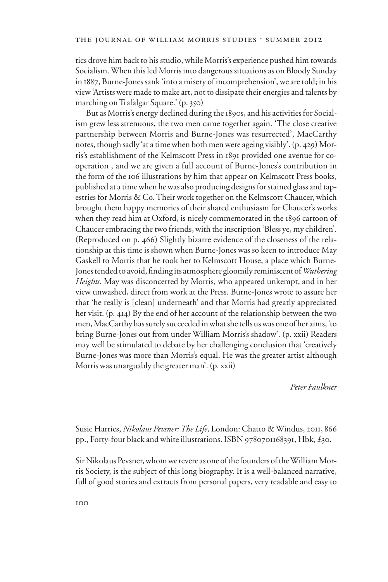tics drove him back to his studio, while Morris's experience pushed him towards Socialism. When this led Morris into dangerous situations as on Bloody Sunday in 1887, Burne-Jones sank 'into a misery of incomprehension', we are told; in his view 'Artists were made to make art, not to dissipate their energies and talents by marching on Trafalgar Square.' (p. 350)

But as Morris's energy declined during the 1890s, and his activities for Socialism grew less strenuous, the two men came together again. 'The close creative partnership between Morris and Burne-Jones was resurrected', MacCarthy notes, though sadly 'at a time when both men were ageing visibly'. (p. 429) Morris's establishment of the Kelmscott Press in 1891 provided one avenue for cooperation , and we are given a full account of Burne-Jones's contribution in the form of the 106 illustrations by him that appear on Kelmscott Press books, published at a time when he was also producing designs for stained glass and tapestries for Morris & Co. Their work together on the Kelmscott Chaucer, which brought them happy memories of their shared enthusiasm for Chaucer's works when they read him at Oxford, is nicely commemorated in the 1896 cartoon of Chaucer embracing the two friends, with the inscription 'Bless ye, my children'. (Reproduced on p. 466) Slightly bizarre evidence of the closeness of the relationship at this time is shown when Burne-Jones was so keen to introduce May Gaskell to Morris that he took her to Kelmscott House, a place which Burne-Jones tended to avoid, finding its atmosphere gloomily reminiscent of *Wuthering Heights*. May was disconcerted by Morris, who appeared unkempt, and in her view unwashed, direct from work at the Press. Burne-Jones wrote to assure her that 'he really is [clean] underneath' and that Morris had greatly appreciated her visit. (p. 414) By the end of her account of the relationship between the two men, MacCarthy has surely succeeded in what she tells us was one of her aims, 'to bring Burne-Jones out from under William Morris's shadow'. (p. xxii) Readers may well be stimulated to debate by her challenging conclusion that 'creatively Burne-Jones was more than Morris's equal. He was the greater artist although Morris was unarguably the greater man'. (p. xxii)

*Peter Faulkner*

Susie Harries, *Nikolaus Pevsner: The Life*, London: Chatto & Windus, 2011, 866 pp., Forty-four black and white illustrations. ISBN 9780701168391, Hbk, £30.

Sir Nikolaus Pevsner, whom we revere as one of the founders of the William Morris Society, is the subject of this long biography. It is a well-balanced narrative, full of good stories and extracts from personal papers, very readable and easy to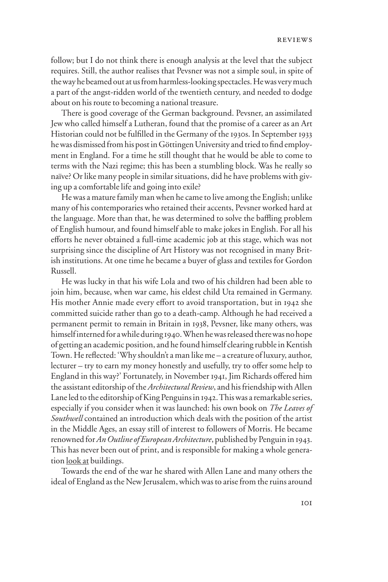follow; but I do not think there is enough analysis at the level that the subject requires. Still, the author realises that Pevsner was not a simple soul, in spite of the way he beamed out at us from harmless-looking spectacles. He was very much a part of the angst-ridden world of the twentieth century, and needed to dodge about on his route to becoming a national treasure.

There is good coverage of the German background. Pevsner, an assimilated Jew who called himself a Lutheran, found that the promise of a career as an Art Historian could not be fulfilled in the Germany of the 1930s. In September 1933 he was dismissed from his post in Göttingen University and tried to find employment in England. For a time he still thought that he would be able to come to terms with the Nazi regime; this has been a stumbling block. Was he really so naïve? Or like many people in similar situations, did he have problems with giving up a comfortable life and going into exile?

He was a mature family man when he came to live among the English; unlike many of his contemporaries who retained their accents, Pevsner worked hard at the language. More than that, he was determined to solve the baffling problem of English humour, and found himself able to make jokes in English. For all his efforts he never obtained a full-time academic job at this stage, which was not surprising since the discipline of Art History was not recognised in many British institutions. At one time he became a buyer of glass and textiles for Gordon Russell.

He was lucky in that his wife Lola and two of his children had been able to join him, because, when war came, his eldest child Uta remained in Germany. His mother Annie made every effort to avoid transportation, but in 1942 she committed suicide rather than go to a death-camp. Although he had received a permanent permit to remain in Britain in 1938, Pevsner, like many others, was himself interned for a while during 1940. When he was released there was no hope of getting an academic position, and he found himself clearing rubble in Kentish Town. He reflected: 'Why shouldn't a man like me – a creature of luxury, author, lecturer – try to earn my money honestly and usefully, try to offer some help to England in this way?' Fortunately, in November 1941, Jim Richards offered him the assistant editorship of the *Architectural Review*, and his friendship with Allen Lane led to the editorship of King Penguins in 1942. This was a remarkable series, especially if you consider when it was launched: his own book on *The Leaves of Southwell* contained an introduction which deals with the position of the artist in the Middle Ages, an essay still of interest to followers of Morris. He became renowned for *An Outline of European Architecture*, published by Penguin in 1943. This has never been out of print, and is responsible for making a whole generation look at buildings.

Towards the end of the war he shared with Allen Lane and many others the ideal of England as the New Jerusalem, which was to arise from the ruins around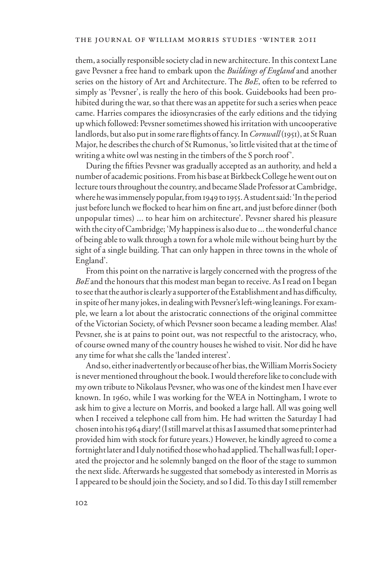them, a socially responsible society clad in new architecture. In this context Lane gave Pevsner a free hand to embark upon the *Buildings of England* and another series on the history of Art and Architecture. The *BoE*, often to be referred to simply as 'Pevsner', is really the hero of this book. Guidebooks had been prohibited during the war, so that there was an appetite for such a series when peace came. Harries compares the idiosyncrasies of the early editions and the tidying up which followed: Pevsner sometimes showed his irritation with uncooperative landlords, but also put in some rare flights of fancy. In *Cornwall* (1951), at St Ruan Major, he describes the church of St Rumonus, 'so little visited that at the time of writing a white owl was nesting in the timbers of the S porch roof'.

During the fifties Pevsner was gradually accepted as an authority, and held a number of academic positions. From his base at Birkbeck College he went out on lecture tours throughout the country, and became Slade Professor at Cambridge, where he was immensely popular, from 1949 to 1955. A student said: 'In the period just before lunch we flocked to hear him on fine art, and just before dinner (both unpopular times) ... to hear him on architecture'. Pevsner shared his pleasure with the city of Cambridge; 'My happiness is also due to ... the wonderful chance of being able to walk through a town for a whole mile without being hurt by the sight of a single building. That can only happen in three towns in the whole of England'.

From this point on the narrative is largely concerned with the progress of the *BoE* and the honours that this modest man began to receive. As I read on I began to see that the author is clearly a supporter of the Establishment and has difficulty, in spite of her many jokes, in dealing with Pevsner's left-wing leanings. For example, we learn a lot about the aristocratic connections of the original committee of the Victorian Society, of which Pevsner soon became a leading member. Alas! Pevsner, she is at pains to point out, was not respectful to the aristocracy, who, of course owned many of the country houses he wished to visit. Nor did he have any time for what she calls the 'landed interest'.

And so, either inadvertently or because of her bias, the William Morris Society is never mentioned throughout the book. I would therefore like to conclude with my own tribute to Nikolaus Pevsner, who was one of the kindest men I have ever known. In 1960, while I was working for the WEA in Nottingham, I wrote to ask him to give a lecture on Morris, and booked a large hall. All was going well when I received a telephone call from him. He had written the Saturday I had chosen into his 1964 diary! (I still marvel at this as I assumed that some printer had provided him with stock for future years.) However, he kindly agreed to come a fortnight later and I duly notified those who had applied. The hall was full; I operated the projector and he solemnly banged on the floor of the stage to summon the next slide. Afterwards he suggested that somebody as interested in Morris as I appeared to be should join the Society, and so I did. To this day I still remember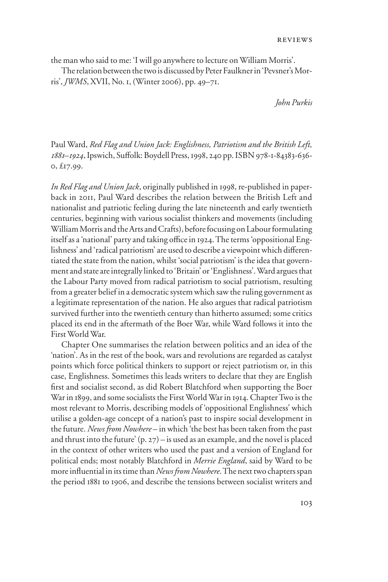the man who said to me: 'I will go anywhere to lecture on William Morris'.

The relation between the two is discussed by Peter Faulkner in 'Pevsner's Morris', *JWMS*, XVII, No. 1, (Winter 2006), pp. 49–71.

*John Purkis* 

Paul Ward, *Red Flag and Union Jack: Englishness, Patriotism and the British Left,*  1881–1924, Ipswich, Suffolk: Boydell Press, 1998, 240 pp. ISBN 978-1-84383-636-0, £17.99.

*In Red Flag and Union Jack*, originally published in 1998, re-published in paperback in 2011, Paul Ward describes the relation between the British Left and nationalist and patriotic feeling during the late nineteenth and early twentieth centuries, beginning with various socialist thinkers and movements (including William Morris and the Arts and Crafts), before focusing on Labour formulating itself as a 'national' party and taking office in 1924. The terms 'oppositional Englishness' and 'radical patriotism' are used to describe a viewpoint which differentiated the state from the nation, whilst 'social patriotism' is the idea that government and state are integrally linked to 'Britain' or 'Englishness'. Ward argues that the Labour Party moved from radical patriotism to social patriotism, resulting from a greater belief in a democratic system which saw the ruling government as a legitimate representation of the nation. He also argues that radical patriotism survived further into the twentieth century than hitherto assumed; some critics placed its end in the aftermath of the Boer War, while Ward follows it into the First World War.

Chapter One summarises the relation between politics and an idea of the 'nation'. As in the rest of the book, wars and revolutions are regarded as catalyst points which force political thinkers to support or reject patriotism or, in this case, Englishness. Sometimes this leads writers to declare that they are English first and socialist second, as did Robert Blatchford when supporting the Boer War in 1899, and some socialists the First World War in 1914. Chapter Two is the most relevant to Morris, describing models of 'oppositional Englishness' which utilise a golden-age concept of a nation's past to inspire social development in the future. *News from Nowhere* – in which 'the best has been taken from the past and thrust into the future'  $(p, 27)$  – is used as an example, and the novel is placed in the context of other writers who used the past and a version of England for political ends; most notably Blatchford in *Merrie England*, said by Ward to be more influential in its time than *News from Nowhere*. The next two chapters span the period 1881 to 1906, and describe the tensions between socialist writers and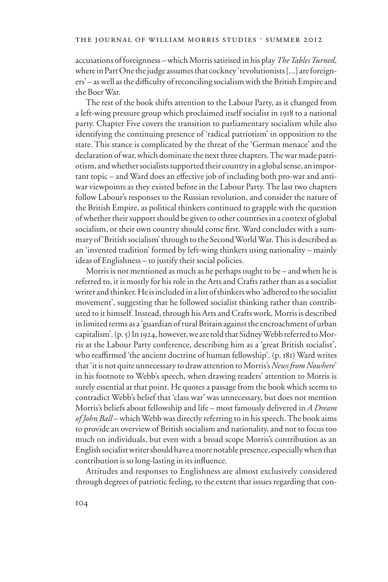accusations of foreignness – which Morris satirised in his play *The Tables Turned*, where in Part One the judge assumes that cockney 'revolutionists [...] are foreigners' – as well as the difficulty of reconciling socialism with the British Empire and the Boer War.

The rest of the book shifts attention to the Labour Party, as it changed from a left-wing pressure group which proclaimed itself socialist in 1918 to a national party. Chapter Five covers the transition to parliamentary socialism while also identifying the continuing presence of 'radical patriotism' in opposition to the state. This stance is complicated by the threat of the 'German menace' and the declaration of war, which dominate the next three chapters. The war made patriotism, and whether socialists supported their country in a global sense, an important topic – and Ward does an effective job of including both pro-war and antiwar viewpoints as they existed before in the Labour Party. The last two chapters follow Labour's responses to the Russian revolution, and consider the nature of the British Empire, as political thinkers continued to grapple with the question of whether their support should be given to other countries in a context of global socialism, or their own country should come first. Ward concludes with a summary of 'British socialism' through to the Second World War. This is described as an 'invented tradition' formed by left-wing thinkers using nationality – mainly ideas of Englishness – to justify their social policies.

Morris is not mentioned as much as he perhaps ought to be – and when he is referred to, it is mostly for his role in the Arts and Crafts rather than as a socialist writer and thinker. He is included in a list of thinkers who 'adhered to the socialist movement', suggesting that he followed socialist thinking rather than contributed to it himself. Instead, through his Arts and Crafts work, Morris is described in limited terms as a 'guardian of rural Britain against the encroachment of urban capitalism'. (p. 5) In 1924, however, we are told that Sidney Webb referred to Morris at the Labour Party conference, describing him as a 'great British socialist', who reaffirmed 'the ancient doctrine of human fellowship'. (p. 181) Ward writes that 'it is not quite unnecessary to draw attention to Morris's *News from Nowhere*' in his footnote to Webb's speech, when drawing readers' attention to Morris is surely essential at that point. He quotes a passage from the book which seems to contradict Webb's belief that 'class war' was unnecessary, but does not mention Morris's beliefs about fellowship and life – most famously delivered in *A Dream of John Ball* – which Webb was directly referring to in his speech. The book aims to provide an overview of British socialism and nationality, and not to focus too much on individuals, but even with a broad scope Morris's contribution as an English socialist writer should have a more notable presence, especially when that contribution is so long-lasting in its influence.

Attitudes and responses to Englishness are almost exclusively considered through degrees of patriotic feeling, to the extent that issues regarding that con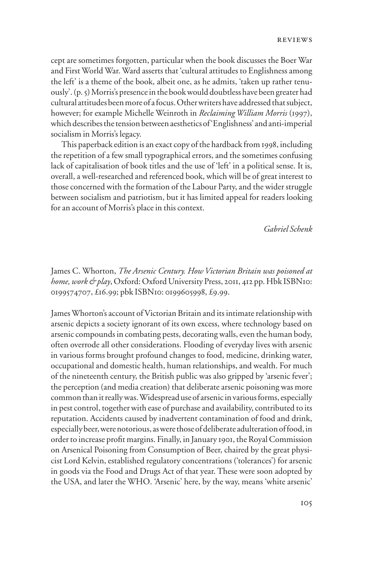cept are sometimes forgotten, particular when the book discusses the Boer War and First World War. Ward asserts that 'cultural attitudes to Englishness among the left' is a theme of the book, albeit one, as he admits, 'taken up rather tenuously'. (p. 5) Morris's presence in the book would doubtless have been greater had cultural attitudes been more of a focus. Other writers have addressed that subject, however; for example Michelle Weinroth in *Reclaiming William Morris* (1997), which describes the tension between aesthetics of 'Englishness' and anti-imperial socialism in Morris's legacy.

This paperback edition is an exact copy of the hardback from 1998, including the repetition of a few small typographical errors, and the sometimes confusing lack of capitalisation of book titles and the use of 'left' in a political sense. It is, overall, a well-researched and referenced book, which will be of great interest to those concerned with the formation of the Labour Party, and the wider struggle between socialism and patriotism, but it has limited appeal for readers looking for an account of Morris's place in this context.

*Gabriel Schenk*

James C. Whorton, *The Arsenic Century. How Victorian Britain was poisoned at home, work & play*, Oxford: Oxford University Press, 2011, 412 pp. Hbk ISBN10: 0199574707, £16.99; pbk ISBN10: 0199605998, £9.99.

James Whorton's account of Victorian Britain and its intimate relationship with arsenic depicts a society ignorant of its own excess, where technology based on arsenic compounds in combating pests, decorating walls, even the human body, often overrode all other considerations. Flooding of everyday lives with arsenic in various forms brought profound changes to food, medicine, drinking water, occupational and domestic health, human relationships, and wealth. For much of the nineteenth century, the British public was also gripped by 'arsenic fever'; the perception (and media creation) that deliberate arsenic poisoning was more common than it really was. Widespread use of arsenic in various forms, especially in pest control, together with ease of purchase and availability, contributed to its reputation. Accidents caused by inadvertent contamination of food and drink, especially beer, were notorious, as were those of deliberate adulteration of food, in order to increase profit margins. Finally, in January 1901, the Royal Commission on Arsenical Poisoning from Consumption of Beer, chaired by the great physicist Lord Kelvin, established regulatory concentrations ('tolerances') for arsenic in goods via the Food and Drugs Act of that year. These were soon adopted by the USA, and later the WHO. 'Arsenic' here, by the way, means 'white arsenic'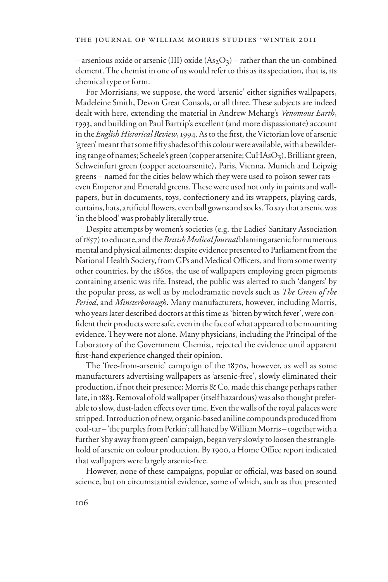– arsenious oxide or arsenic (III) oxide  $(As<sub>2</sub>O<sub>3</sub>)$  – rather than the un-combined element. The chemist in one of us would refer to this as its speciation, that is, its chemical type or form.

For Morrisians, we suppose, the word 'arsenic' either signifies wallpapers, Madeleine Smith, Devon Great Consols, or all three. These subjects are indeed dealt with here, extending the material in Andrew Meharg's *Venomous Earth*, 1993, and building on Paul Bartrip's excellent (and more dispassionate) account in the *English Historical Review*, 1994. As to the first, the Victorian love of arsenic 'green' meant that some fifty shades of this colour were available, with a bewildering range of names; Scheele's green (copper arsenite;  $CuHAsO<sub>3</sub>$ ), Brilliant green, Schweinfurt green (copper acetoarsenite), Paris, Vienna, Munich and Leipzig greens – named for the cities below which they were used to poison sewer rats – even Emperor and Emerald greens. These were used not only in paints and wallpapers, but in documents, toys, confectionery and its wrappers, playing cards, curtains, hats, artificial flowers, even ball gowns and socks. To say that arsenic was 'in the blood' was probably literally true.

Despite attempts by women's societies (e.g. the Ladies' Sanitary Association of 1857) to educate, and the *British Medical Journal* blaming arsenic for numerous mental and physical ailments: despite evidence presented to Parliament from the National Health Society, from GPs and Medical Officers, and from some twenty other countries, by the 1860s, the use of wallpapers employing green pigments containing arsenic was rife. Instead, the public was alerted to such 'dangers' by the popular press, as well as by melodramatic novels such as *The Green of the Period*, and *Minsterborough*. Many manufacturers, however, including Morris, who years later described doctors at this time as 'bitten by witch fever', were confident their products were safe, even in the face of what appeared to be mounting evidence. They were not alone. Many physicians, including the Principal of the Laboratory of the Government Chemist, rejected the evidence until apparent first-hand experience changed their opinion.

The 'free-from-arsenic' campaign of the 1870s, however, as well as some manufacturers advertising wallpapers as 'arsenic-free', slowly eliminated their production, if not their presence; Morris & Co. made this change perhaps rather late, in 1883. Removal of old wallpaper (itself hazardous) was also thought preferable to slow, dust-laden effects over time. Even the walls of the royal palaces were stripped. Introduction of new, organic-based aniline compounds produced from coal-tar – 'the purples from Perkin'; all hated by William Morris – together with a further 'shy away from green' campaign, began very slowly to loosen the stranglehold of arsenic on colour production. By 1900, a Home Office report indicated that wallpapers were largely arsenic-free.

However, none of these campaigns, popular or official, was based on sound science, but on circumstantial evidence, some of which, such as that presented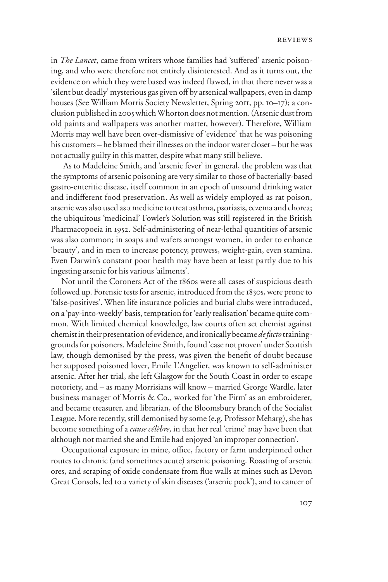in *The Lancet*, came from writers whose families had 'suffered' arsenic poisoning, and who were therefore not entirely disinterested. And as it turns out, the evidence on which they were based was indeed flawed, in that there never was a 'silent but deadly' mysterious gas given off by arsenical wallpapers, even in damp houses (See William Morris Society Newsletter, Spring 2011, pp. 10–17); a conclusion published in 2005 which Whorton does not mention. (Arsenic dust from old paints and wallpapers was another matter, however). Therefore, William Morris may well have been over-dismissive of 'evidence' that he was poisoning his customers – he blamed their illnesses on the indoor water closet – but he was not actually guilty in this matter, despite what many still believe.

 As to Madeleine Smith, and 'arsenic fever' in general, the problem was that the symptoms of arsenic poisoning are very similar to those of bacterially-based gastro-enteritic disease, itself common in an epoch of unsound drinking water and indifferent food preservation. As well as widely employed as rat poison, arsenic was also used as a medicine to treat asthma, psoriasis, eczema and chorea; the ubiquitous 'medicinal' Fowler's Solution was still registered in the British Pharmacopoeia in 1952. Self-administering of near-lethal quantities of arsenic was also common; in soaps and wafers amongst women, in order to enhance 'beauty', and in men to increase potency, prowess, weight-gain, even stamina. Even Darwin's constant poor health may have been at least partly due to his ingesting arsenic for his various 'ailments'.

Not until the Coroners Act of the 1860s were all cases of suspicious death followed up. Forensic tests for arsenic, introduced from the 1830s, were prone to 'false-positives'. When life insurance policies and burial clubs were introduced, on a 'pay-into-weekly' basis, temptation for 'early realisation' became quite common. With limited chemical knowledge, law courts often set chemist against chemist in their presentation of evidence, and ironically became *de facto* traininggrounds for poisoners. Madeleine Smith, found 'case not proven' under Scottish law, though demonised by the press, was given the benefit of doubt because her supposed poisoned lover, Emile L'Angelier, was known to self-administer arsenic. After her trial, she left Glasgow for the South Coast in order to escape notoriety, and – as many Morrisians will know – married George Wardle, later business manager of Morris & Co., worked for 'the Firm' as an embroiderer, and became treasurer, and librarian, of the Bloomsbury branch of the Socialist League. More recently, still demonised by some (e.g. Professor Meharg), she has become something of a *cause célèbre*, in that her real 'crime' may have been that although not married she and Emile had enjoyed 'an improper connection'.

Occupational exposure in mine, office, factory or farm underpinned other routes to chronic (and sometimes acute) arsenic poisoning. Roasting of arsenic ores, and scraping of oxide condensate from flue walls at mines such as Devon Great Consols, led to a variety of skin diseases ('arsenic pock'), and to cancer of